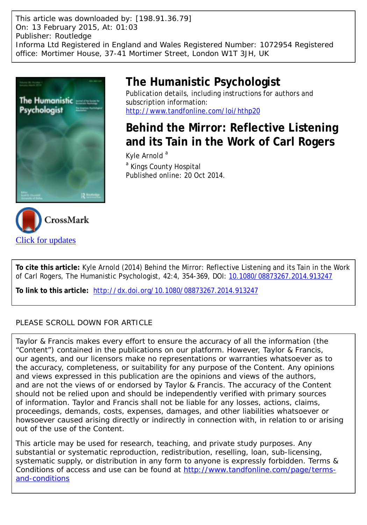This article was downloaded by: [198.91.36.79] On: 13 February 2015, At: 01:03 Publisher: Routledge Informa Ltd Registered in England and Wales Registered Number: 1072954 Registered office: Mortimer House, 37-41 Mortimer Street, London W1T 3JH, UK



# **The Humanistic Psychologist**

Publication details, including instructions for authors and subscription information: <http://www.tandfonline.com/loi/hthp20>

**Behind the Mirror: Reflective Listening and its Tain in the Work of Carl Rogers**

Kyle Arnold<sup>a</sup> <sup>a</sup> Kings County Hospital Published online: 20 Oct 2014.



**To cite this article:** Kyle Arnold (2014) Behind the Mirror: Reflective Listening and its Tain in the Work of Carl Rogers, The Humanistic Psychologist, 42:4, 354-369, DOI: [10.1080/08873267.2014.913247](http://www.tandfonline.com/action/showCitFormats?doi=10.1080/08873267.2014.913247)

**To link to this article:** <http://dx.doi.org/10.1080/08873267.2014.913247>

### PLEASE SCROLL DOWN FOR ARTICLE

Taylor & Francis makes every effort to ensure the accuracy of all the information (the "Content") contained in the publications on our platform. However, Taylor & Francis, our agents, and our licensors make no representations or warranties whatsoever as to the accuracy, completeness, or suitability for any purpose of the Content. Any opinions and views expressed in this publication are the opinions and views of the authors, and are not the views of or endorsed by Taylor & Francis. The accuracy of the Content should not be relied upon and should be independently verified with primary sources of information. Taylor and Francis shall not be liable for any losses, actions, claims, proceedings, demands, costs, expenses, damages, and other liabilities whatsoever or howsoever caused arising directly or indirectly in connection with, in relation to or arising out of the use of the Content.

This article may be used for research, teaching, and private study purposes. Any substantial or systematic reproduction, redistribution, reselling, loan, sub-licensing, systematic supply, or distribution in any form to anyone is expressly forbidden. Terms & Conditions of access and use can be found at [http://www.tandfonline.com/page/terms](http://www.tandfonline.com/page/terms-and-conditions)[and-conditions](http://www.tandfonline.com/page/terms-and-conditions)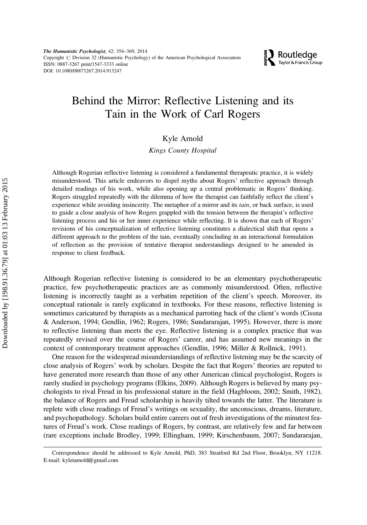## Behind the Mirror: Reflective Listening and its Tain in the Work of Carl Rogers

#### Kyle Arnold

Kings County Hospital

Although Rogerian reflective listening is considered a fundamental therapeutic practice, it is widely misunderstood. This article endeavors to dispel myths about Rogers' reflective approach through detailed readings of his work, while also opening up a central problematic in Rogers' thinking. Rogers struggled repeatedly with the dilemma of how the therapist can faithfully reflect the client's experience while avoiding insincerity. The metaphor of a mirror and its *tain*, or back surface, is used to guide a close analysis of how Rogers grappled with the tension between the therapist's reflective listening process and his or her inner experience while reflecting. It is shown that each of Rogers' revisions of his conceptualization of reflective listening constitutes a dialectical shift that opens a different approach to the problem of the tain, eventually concluding in an interactional formulation of reflection as the provision of tentative therapist understandings designed to be amended in response to client feedback.

Although Rogerian reflective listening is considered to be an elementary psychotherapeutic practice, few psychotherapeutic practices are as commonly misunderstood. Often, reflective listening is incorrectly taught as a verbatim repetition of the client's speech. Moreover, its conceptual rationale is rarely explicated in textbooks. For these reasons, reflective listening is sometimes caricatured by therapists as a mechanical parroting back of the client's words (Cissna & Anderson, 1994; Gendlin, 1962; Rogers, 1986; Sundararajan, 1995). However, there is more to reflective listening than meets the eye. Reflective listening is a complex practice that was repeatedly revised over the course of Rogers' career, and has assumed new meanings in the context of contemporary treatment approaches (Gendlin, 1996; Miller & Rollnick, 1991).

One reason for the widespread misunderstandings of reflective listening may be the scarcity of close analysis of Rogers' work by scholars. Despite the fact that Rogers' theories are reputed to have generated more research than those of any other American clinical psychologist, Rogers is rarely studied in psychology programs (Elkins, 2009). Although Rogers is believed by many psychologists to rival Freud in his professional stature in the field (Hagbloom, 2002; Smith, 1982), the balance of Rogers and Freud scholarship is heavily tilted towards the latter. The literature is replete with close readings of Freud's writings on sexuality, the unconscious, dreams, literature, and psychopathology. Scholars build entire careers out of fresh investigations of the minutest features of Freud's work. Close readings of Rogers, by contrast, are relatively few and far between (rare exceptions include Brodley, 1999; Ellingham, 1999; Kirschenbaum, 2007; Sundararajan,

Correspondence should be addressed to Kyle Arnold, PhD, 383 Stratford Rd 2nd Floor, Brooklyn, NY 11218. E-mail: kyletarnold@gmail.com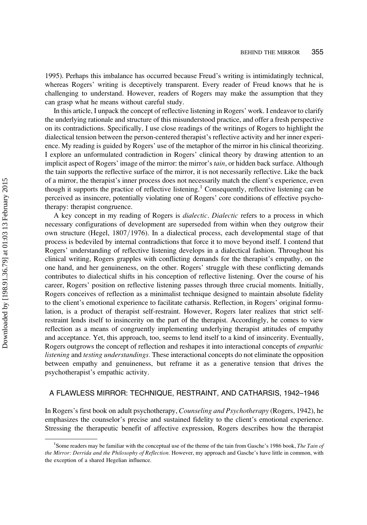1995). Perhaps this imbalance has occurred because Freud's writing is intimidatingly technical, whereas Rogers' writing is deceptively transparent. Every reader of Freud knows that he is challenging to understand. However, readers of Rogers may make the assumption that they can grasp what he means without careful study.

In this article, I unpack the concept of reflective listening in Rogers' work. I endeavor to clarify the underlying rationale and structure of this misunderstood practice, and offer a fresh perspective on its contradictions. Specifically, I use close readings of the writings of Rogers to highlight the dialectical tension between the person-centered therapist's reflective activity and her inner experience. My reading is guided by Rogers' use of the metaphor of the mirror in his clinical theorizing. I explore an unformulated contradiction in Rogers' clinical theory by drawing attention to an implicit aspect of Rogers' image of the mirror: the mirror's tain, or hidden back surface. Although the tain supports the reflective surface of the mirror, it is not necessarily reflective. Like the back of a mirror, the therapist's inner process does not necessarily match the client's experience, even though it supports the practice of reflective listening.<sup>1</sup> Consequently, reflective listening can be perceived as insincere, potentially violating one of Rogers' core conditions of effective psychotherapy: therapist congruence.

A key concept in my reading of Rogers is dialectic. Dialectic refers to a process in which necessary configurations of development are superseded from within when they outgrow their own structure (Hegel,  $1807/1976$ ). In a dialectical process, each developmental stage of that process is bedeviled by internal contradictions that force it to move beyond itself. I contend that Rogers' understanding of reflective listening develops in a dialectical fashion. Throughout his clinical writing, Rogers grapples with conflicting demands for the therapist's empathy, on the one hand, and her genuineness, on the other. Rogers' struggle with these conflicting demands contributes to dialectical shifts in his conception of reflective listening. Over the course of his career, Rogers' position on reflective listening passes through three crucial moments. Initially, Rogers conceives of reflection as a minimalist technique designed to maintain absolute fidelity to the client's emotional experience to facilitate catharsis. Reflection, in Rogers' original formulation, is a product of therapist self-restraint. However, Rogers later realizes that strict selfrestraint lends itself to insincerity on the part of the therapist. Accordingly, he comes to view reflection as a means of congruently implementing underlying therapist attitudes of empathy and acceptance. Yet, this approach, too, seems to lend itself to a kind of insincerity. Eventually, Rogers outgrows the concept of reflection and reshapes it into interactional concepts of empathic listening and testing understandings. These interactional concepts do not eliminate the opposition between empathy and genuineness, but reframe it as a generative tension that drives the psychotherapist's empathic activity.

#### A FLAWLESS MIRROR: TECHNIQUE, RESTRAINT, AND CATHARSIS, 1942–1946

In Rogers's first book on adult psychotherapy, *Counseling and Psychotherapy* (Rogers, 1942), he emphasizes the counselor's precise and sustained fidelity to the client's emotional experience. Stressing the therapeutic benefit of affective expression, Rogers describes how the therapist

<sup>&</sup>lt;sup>1</sup>Some readers may be familiar with the conceptual use of the theme of the tain from Gasche's 1986 book, The Tain of the Mirror: Derrida and the Philosophy of Reflection. However, my approach and Gasche's have little in common, with the exception of a shared Hegelian influence.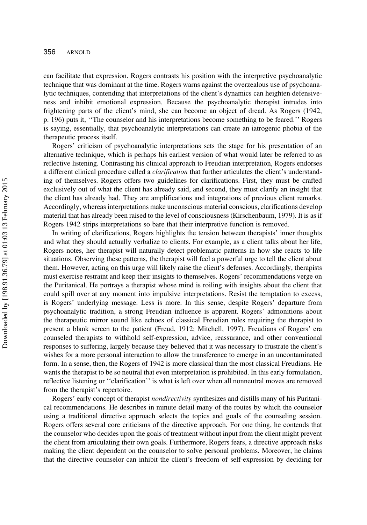can facilitate that expression. Rogers contrasts his position with the interpretive psychoanalytic technique that was dominant at the time. Rogers warns against the overzealous use of psychoanalytic techniques, contending that interpretations of the client's dynamics can heighten defensiveness and inhibit emotional expression. Because the psychoanalytic therapist intrudes into frightening parts of the client's mind, she can become an object of dread. As Rogers (1942, p. 196) puts it, ''The counselor and his interpretations become something to be feared.'' Rogers is saying, essentially, that psychoanalytic interpretations can create an iatrogenic phobia of the therapeutic process itself.

Rogers' criticism of psychoanalytic interpretations sets the stage for his presentation of an alternative technique, which is perhaps his earliest version of what would later be referred to as reflective listening. Contrasting his clinical approach to Freudian interpretation, Rogers endorses a different clinical procedure called a clarification that further articulates the client's understanding of themselves. Rogers offers two guidelines for clarifications. First, they must be crafted exclusively out of what the client has already said, and second, they must clarify an insight that the client has already had. They are amplifications and integrations of previous client remarks. Accordingly, whereas interpretations make unconscious material conscious, clarifications develop material that has already been raised to the level of consciousness (Kirschenbaum, 1979). It is as if Rogers 1942 strips interpretations so bare that their interpretive function is removed.

In writing of clarifications, Rogers highlights the tension between therapists' inner thoughts and what they should actually verbalize to clients. For example, as a client talks about her life, Rogers notes, her therapist will naturally detect problematic patterns in how she reacts to life situations. Observing these patterns, the therapist will feel a powerful urge to tell the client about them. However, acting on this urge will likely raise the client's defenses. Accordingly, therapists must exercise restraint and keep their insights to themselves. Rogers' recommendations verge on the Puritanical. He portrays a therapist whose mind is roiling with insights about the client that could spill over at any moment into impulsive interpretations. Resist the temptation to excess, is Rogers' underlying message. Less is more. In this sense, despite Rogers' departure from psychoanalytic tradition, a strong Freudian influence is apparent. Rogers' admonitions about the therapeutic mirror sound like echoes of classical Freudian rules requiring the therapist to present a blank screen to the patient (Freud, 1912; Mitchell, 1997). Freudians of Rogers' era counseled therapists to withhold self-expression, advice, reassurance, and other conventional responses to suffering, largely because they believed that it was necessary to frustrate the client's wishes for a more personal interaction to allow the transference to emerge in an uncontaminated form. In a sense, then, the Rogers of 1942 is more classical than the most classical Freudians. He wants the therapist to be so neutral that even interpretation is prohibited. In this early formulation, reflective listening or ''clarification'' is what is left over when all nonneutral moves are removed from the therapist's repertoire.

Rogers' early concept of therapist nondirectivity synthesizes and distills many of his Puritanical recommendations. He describes in minute detail many of the routes by which the counselor using a traditional directive approach selects the topics and goals of the counseling session. Rogers offers several core criticisms of the directive approach. For one thing, he contends that the counselor who decides upon the goals of treatment without input from the client might prevent the client from articulating their own goals. Furthermore, Rogers fears, a directive approach risks making the client dependent on the counselor to solve personal problems. Moreover, he claims that the directive counselor can inhibit the client's freedom of self-expression by deciding for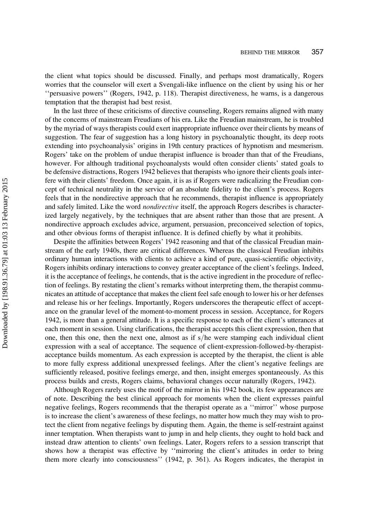the client what topics should be discussed. Finally, and perhaps most dramatically, Rogers worries that the counselor will exert a Svengali-like influence on the client by using his or her ''persuasive powers'' (Rogers, 1942, p. 118). Therapist directiveness, he warns, is a dangerous temptation that the therapist had best resist.

In the last three of these criticisms of directive counseling, Rogers remains aligned with many of the concerns of mainstream Freudians of his era. Like the Freudian mainstream, he is troubled by the myriad of ways therapists could exert inappropriate influence over their clients by means of suggestion. The fear of suggestion has a long history in psychoanalytic thought, its deep roots extending into psychoanalysis' origins in 19th century practices of hypnotism and mesmerism. Rogers' take on the problem of undue therapist influence is broader than that of the Freudians, however. For although traditional psychoanalysts would often consider clients' stated goals to be defensive distractions, Rogers 1942 believes that therapists who ignore their clients goals interfere with their clients' freedom. Once again, it is as if Rogers were radicalizing the Freudian concept of technical neutrality in the service of an absolute fidelity to the client's process. Rogers feels that in the nondirective approach that he recommends, therapist influence is appropriately and safely limited. Like the word *nondirective* itself, the approach Rogers describes is characterized largely negatively, by the techniques that are absent rather than those that are present. A nondirective approach excludes advice, argument, persuasion, preconceived selection of topics, and other obvious forms of therapist influence. It is defined chiefly by what it prohibits.

Despite the affinities between Rogers' 1942 reasoning and that of the classical Freudian mainstream of the early 1940s, there are critical differences. Whereas the classical Freudian inhibits ordinary human interactions with clients to achieve a kind of pure, quasi-scientific objectivity, Rogers inhibits ordinary interactions to convey greater acceptance of the client's feelings. Indeed, it is the acceptance of feelings, he contends, that is the active ingredient in the procedure of reflection of feelings. By restating the client's remarks without interpreting them, the therapist communicates an attitude of acceptance that makes the client feel safe enough to lower his or her defenses and release his or her feelings. Importantly, Rogers underscores the therapeutic effect of acceptance on the granular level of the moment-to-moment process in session. Acceptance, for Rogers 1942, is more than a general attitude. It is a specific response to each of the client's utterances at each moment in session. Using clarifications, the therapist accepts this client expression, then that one, then this one, then the next one, almost as if  $s$ /he were stamping each individual client expression with a seal of acceptance. The sequence of client-expression-followed-by-therapistacceptance builds momentum. As each expression is accepted by the therapist, the client is able to more fully express additional unexpressed feelings. After the client's negative feelings are sufficiently released, positive feelings emerge, and then, insight emerges spontaneously. As this process builds and crests, Rogers claims, behavioral changes occur naturally (Rogers, 1942).

Although Rogers rarely uses the motif of the mirror in his 1942 book, its few appearances are of note. Describing the best clinical approach for moments when the client expresses painful negative feelings, Rogers recommends that the therapist operate as a ''mirror'' whose purpose is to increase the client's awareness of these feelings, no matter how much they may wish to protect the client from negative feelings by disputing them. Again, the theme is self-restraint against inner temptation. When therapists want to jump in and help clients, they ought to hold back and instead draw attention to clients' own feelings. Later, Rogers refers to a session transcript that shows how a therapist was effective by ''mirroring the client's attitudes in order to bring them more clearly into consciousness'' (1942, p. 361). As Rogers indicates, the therapist in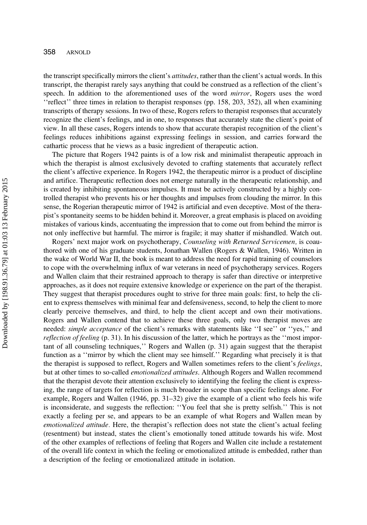the transcript specifically mirrors the client's *attitudes*, rather than the client's actual words. In this transcript, the therapist rarely says anything that could be construed as a reflection of the client's speech. In addition to the aforementioned uses of the word *mirror*, Rogers uses the word ''reflect'' three times in relation to therapist responses (pp. 158, 203, 352), all when examining transcripts of therapy sessions. In two of these, Rogers refers to therapist responses that accurately recognize the client's feelings, and in one, to responses that accurately state the client's point of view. In all these cases, Rogers intends to show that accurate therapist recognition of the client's feelings reduces inhibitions against expressing feelings in session, and carries forward the cathartic process that he views as a basic ingredient of therapeutic action.

The picture that Rogers 1942 paints is of a low risk and minimalist therapeutic approach in which the therapist is almost exclusively devoted to crafting statements that accurately reflect the client's affective experience. In Rogers 1942, the therapeutic mirror is a product of discipline and artifice. Therapeutic reflection does not emerge naturally in the therapeutic relationship, and is created by inhibiting spontaneous impulses. It must be actively constructed by a highly controlled therapist who prevents his or her thoughts and impulses from clouding the mirror. In this sense, the Rogerian therapeutic mirror of 1942 is artificial and even deceptive. Most of the therapist's spontaneity seems to be hidden behind it. Moreover, a great emphasis is placed on avoiding mistakes of various kinds, accentuating the impression that to come out from behind the mirror is not only ineffective but harmful. The mirror is fragile; it may shatter if mishandled. Watch out.

Rogers' next major work on psychotherapy, Counseling with Returned Servicemen, is coauthored with one of his graduate students, Jonathan Wallen (Rogers & Wallen, 1946). Written in the wake of World War II, the book is meant to address the need for rapid training of counselors to cope with the overwhelming influx of war veterans in need of psychotherapy services. Rogers and Wallen claim that their restrained approach to therapy is safer than directive or interpretive approaches, as it does not require extensive knowledge or experience on the part of the therapist. They suggest that therapist procedures ought to strive for three main goals: first, to help the client to express themselves with minimal fear and defensiveness, second, to help the client to more clearly perceive themselves, and third, to help the client accept and own their motivations. Rogers and Wallen contend that to achieve these three goals, only two therapist moves are needed: *simple acceptance* of the client's remarks with statements like "I see" or "yes," and reflection of feeling (p. 31). In his discussion of the latter, which he portrays as the ''most important of all counseling techniques,'' Rogers and Wallen (p. 31) again suggest that the therapist function as a ''mirror by which the client may see himself.'' Regarding what precisely it is that the therapist is supposed to reflect, Rogers and Wallen sometimes refers to the client's feelings, but at other times to so-called *emotionalized attitudes*. Although Rogers and Wallen recommend that the therapist devote their attention exclusively to identifying the feeling the client is expressing, the range of targets for reflection is much broader in scope than specific feelings alone. For example, Rogers and Wallen (1946, pp. 31–32) give the example of a client who feels his wife is inconsiderate, and suggests the reflection: ''You feel that she is pretty selfish.'' This is not exactly a feeling per se, and appears to be an example of what Rogers and Wallen mean by emotionalized attitude. Here, the therapist's reflection does not state the client's actual feeling (resentment) but instead, states the client's emotionally toned attitude towards his wife. Most of the other examples of reflections of feeling that Rogers and Wallen cite include a restatement of the overall life context in which the feeling or emotionalized attitude is embedded, rather than a description of the feeling or emotionalized attitude in isolation.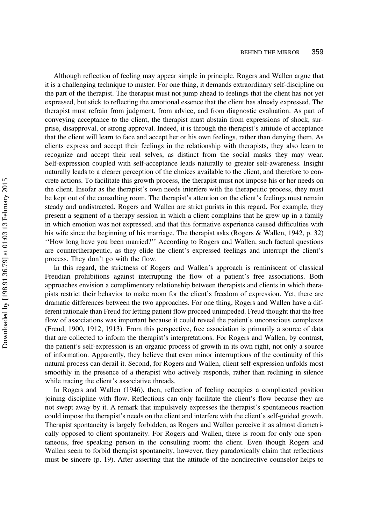Although reflection of feeling may appear simple in principle, Rogers and Wallen argue that it is a challenging technique to master. For one thing, it demands extraordinary self-discipline on the part of the therapist. The therapist must not jump ahead to feelings that the client has not yet expressed, but stick to reflecting the emotional essence that the client has already expressed. The therapist must refrain from judgment, from advice, and from diagnostic evaluation. As part of conveying acceptance to the client, the therapist must abstain from expressions of shock, surprise, disapproval, or strong approval. Indeed, it is through the therapist's attitude of acceptance that the client will learn to face and accept her or his own feelings, rather than denying them. As clients express and accept their feelings in the relationship with therapists, they also learn to recognize and accept their real selves, as distinct from the social masks they may wear. Self-expression coupled with self-acceptance leads naturally to greater self-awareness. Insight naturally leads to a clearer perception of the choices available to the client, and therefore to concrete actions. To facilitate this growth process, the therapist must not impose his or her needs on the client. Insofar as the therapist's own needs interfere with the therapeutic process, they must be kept out of the consulting room. The therapist's attention on the client's feelings must remain steady and undistracted. Rogers and Wallen are strict purists in this regard. For example, they present a segment of a therapy session in which a client complains that he grew up in a family in which emotion was not expressed, and that this formative experience caused difficulties with his wife since the beginning of his marriage. The therapist asks (Rogers & Wallen, 1942, p. 32) ''How long have you been married?'' According to Rogers and Wallen, such factual questions are countertherapeutic, as they elide the client's expressed feelings and interrupt the client's process. They don't go with the flow.

In this regard, the strictness of Rogers and Wallen's approach is reminiscent of classical Freudian prohibitions against interrupting the flow of a patient's free associations. Both approaches envision a complimentary relationship between therapists and clients in which therapists restrict their behavior to make room for the client's freedom of expression. Yet, there are dramatic differences between the two approaches. For one thing, Rogers and Wallen have a different rationale than Freud for letting patient flow proceed unimpeded. Freud thought that the free flow of associations was important because it could reveal the patient's unconscious complexes (Freud, 1900, 1912, 1913). From this perspective, free association is primarily a source of data that are collected to inform the therapist's interpretations. For Rogers and Wallen, by contrast, the patient's self-expression is an organic process of growth in its own right, not only a source of information. Apparently, they believe that even minor interruptions of the continuity of this natural process can derail it. Second, for Rogers and Wallen, client self-expression unfolds most smoothly in the presence of a therapist who actively responds, rather than reclining in silence while tracing the client's associative threads.

In Rogers and Wallen (1946), then, reflection of feeling occupies a complicated position joining discipline with flow. Reflections can only facilitate the client's flow because they are not swept away by it. A remark that impulsively expresses the therapist's spontaneous reaction could impose the therapist's needs on the client and interfere with the client's self-guided growth. Therapist spontaneity is largely forbidden, as Rogers and Wallen perceive it as almost diametrically opposed to client spontaneity. For Rogers and Wallen, there is room for only one spontaneous, free speaking person in the consulting room: the client. Even though Rogers and Wallen seem to forbid therapist spontaneity, however, they paradoxically claim that reflections must be sincere (p. 19). After asserting that the attitude of the nondirective counselor helps to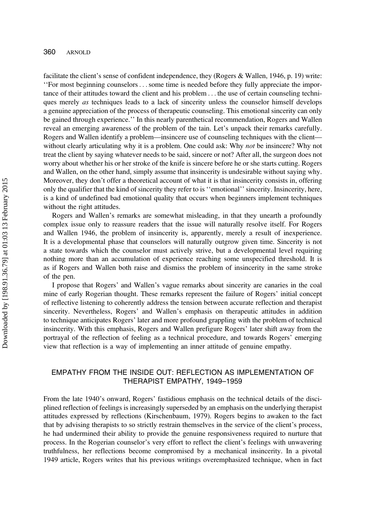facilitate the client's sense of confident independence, they (Rogers & Wallen, 1946, p. 19) write: ''For most beginning counselors...some time is needed before they fully appreciate the importance of their attitudes toward the client and his problem ... the use of certain counseling techniques merely *as* techniques leads to a lack of sincerity unless the counselor himself develops a genuine appreciation of the process of therapeutic counseling. This emotional sincerity can only be gained through experience.'' In this nearly parenthetical recommendation, Rogers and Wallen reveal an emerging awareness of the problem of the tain. Let's unpack their remarks carefully. Rogers and Wallen identify a problem—insincere use of counseling techniques with the client without clearly articulating why it is a problem. One could ask: Why *not* be insincere? Why not treat the client by saying whatever needs to be said, sincere or not? After all, the surgeon does not worry about whether his or her stroke of the knife is sincere before he or she starts cutting. Rogers and Wallen, on the other hand, simply assume that insincerity is undesirable without saying why. Moreover, they don't offer a theoretical account of what it is that insincerity consists in, offering only the qualifier that the kind of sincerity they refer to is ''emotional'' sincerity. Insincerity, here, is a kind of undefined bad emotional quality that occurs when beginners implement techniques without the right attitudes.

Rogers and Wallen's remarks are somewhat misleading, in that they unearth a profoundly complex issue only to reassure readers that the issue will naturally resolve itself. For Rogers and Wallen 1946, the problem of insincerity is, apparently, merely a result of inexperience. It is a developmental phase that counselors will naturally outgrow given time. Sincerity is not a state towards which the counselor must actively strive, but a developmental level requiring nothing more than an accumulation of experience reaching some unspecified threshold. It is as if Rogers and Wallen both raise and dismiss the problem of insincerity in the same stroke of the pen.

I propose that Rogers' and Wallen's vague remarks about sincerity are canaries in the coal mine of early Rogerian thought. These remarks represent the failure of Rogers' initial concept of reflective listening to coherently address the tension between accurate reflection and therapist sincerity. Nevertheless, Rogers' and Wallen's emphasis on therapeutic attitudes in addition to technique anticipates Rogers' later and more profound grappling with the problem of technical insincerity. With this emphasis, Rogers and Wallen prefigure Rogers' later shift away from the portrayal of the reflection of feeling as a technical procedure, and towards Rogers' emerging view that reflection is a way of implementing an inner attitude of genuine empathy.

#### EMPATHY FROM THE INSIDE OUT: REFLECTION AS IMPLEMENTATION OF THERAPIST EMPATHY, 1949–1959

From the late 1940's onward, Rogers' fastidious emphasis on the technical details of the disciplined reflection of feelings is increasingly superseded by an emphasis on the underlying therapist attitudes expressed by reflections (Kirschenbaum, 1979). Rogers begins to awaken to the fact that by advising therapists to so strictly restrain themselves in the service of the client's process, he had undermined their ability to provide the genuine responsiveness required to nurture that process. In the Rogerian counselor's very effort to reflect the client's feelings with unwavering truthfulness, her reflections become compromised by a mechanical insincerity. In a pivotal 1949 article, Rogers writes that his previous writings overemphasized technique, when in fact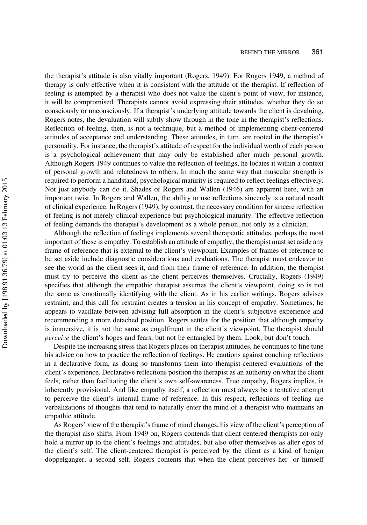the therapist's attitude is also vitally important (Rogers, 1949). For Rogers 1949, a method of therapy is only effective when it is consistent with the attitude of the therapist. If reflection of feeling is attempted by a therapist who does not value the client's point of view, for instance, it will be compromised. Therapists cannot avoid expressing their attitudes, whether they do so consciously or unconsciously. If a therapist's underlying attitude towards the client is devaluing, Rogers notes, the devaluation will subtly show through in the tone in the therapist's reflections. Reflection of feeling, then, is not a technique, but a method of implementing client-centered attitudes of acceptance and understanding. These attitudes, in turn, are rooted in the therapist's personality. For instance, the therapist's attitude of respect for the individual worth of each person is a psychological achievement that may only be established after much personal growth. Although Rogers 1949 continues to value the reflection of feelings, he locates it within a context of personal growth and relatedness to others. In much the same way that muscular strength is required to perform a handstand, psychological maturity is required to reflect feelings effectively. Not just anybody can do it. Shades of Rogers and Wallen (1946) are apparent here, with an important twist. In Rogers and Wallen, the ability to use reflections sincerely is a natural result of clinical experience. In Rogers (1949), by contrast, the necessary condition for sincere reflection of feeling is not merely clinical experience but psychological maturity. The effective reflection of feeling demands the therapist's development as a whole person, not only as a clinician.

Although the reflection of feelings implements several therapeutic attitudes, perhaps the most important of these is empathy. To establish an attitude of empathy, the therapist must set aside any frame of reference that is external to the client's viewpoint. Examples of frames of reference to be set aside include diagnostic considerations and evaluations. The therapist must endeavor to see the world as the client sees it, and from their frame of reference. In addition, the therapist must try to perceive the client as the client perceives themselves. Crucially, Rogers (1949) specifies that although the empathic therapist assumes the client's viewpoint, doing so is not the same as emotionally identifying with the client. As in his earlier writings, Rogers advises restraint, and this call for restraint creates a tension in his concept of empathy. Sometimes, he appears to vacillate between advising full absorption in the client's subjective experience and recommending a more detached position. Rogers settles for the position that although empathy is immersive, it is not the same as engulfment in the client's viewpoint. The therapist should perceive the client's hopes and fears, but not be entangled by them. Look, but don't touch.

Despite the increasing stress that Rogers places on therapist attitudes, he continues to fine tune his advice on how to practice the reflection of feelings. He cautions against couching reflections in a declarative form, as doing so transforms them into therapist-centered evaluations of the client's experience. Declarative reflections position the therapist as an authority on what the client feels, rather than facilitating the client's own self-awareness. True empathy, Rogers implies, is inherently provisional. And like empathy itself, a reflection must always be a tentative attempt to perceive the client's internal frame of reference. In this respect, reflections of feeling are verbalizations of thoughts that tend to naturally enter the mind of a therapist who maintains an empathic attitude.

As Rogers' view of the therapist's frame of mind changes, his view of the client's perception of the therapist also shifts. From 1949 on, Rogers contends that client-centered therapists not only hold a mirror up to the client's feelings and attitudes, but also offer themselves as alter egos of the client's self. The client-centered therapist is perceived by the client as a kind of benign doppelganger, a second self. Rogers contents that when the client perceives her- or himself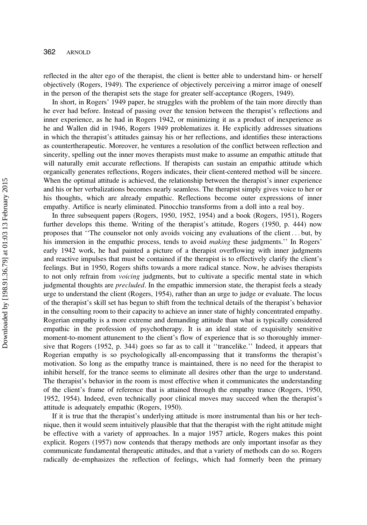reflected in the alter ego of the therapist, the client is better able to understand him- or herself objectively (Rogers, 1949). The experience of objectively perceiving a mirror image of oneself in the person of the therapist sets the stage for greater self-acceptance (Rogers, 1949).

In short, in Rogers' 1949 paper, he struggles with the problem of the tain more directly than he ever had before. Instead of passing over the tension between the therapist's reflections and inner experience, as he had in Rogers 1942, or minimizing it as a product of inexperience as he and Wallen did in 1946, Rogers 1949 problematizes it. He explicitly addresses situations in which the therapist's attitudes gainsay his or her reflections, and identifies these interactions as countertherapeutic. Moreover, he ventures a resolution of the conflict between reflection and sincerity, spelling out the inner moves therapists must make to assume an empathic attitude that will naturally emit accurate reflections. If therapists can sustain an empathic attitude which organically generates reflections, Rogers indicates, their client-centered method will be sincere. When the optimal attitude is achieved, the relationship between the therapist's inner experience and his or her verbalizations becomes nearly seamless. The therapist simply gives voice to her or his thoughts, which are already empathic. Reflections become outer expressions of inner empathy. Artifice is nearly eliminated. Pinocchio transforms from a doll into a real boy.

In three subsequent papers (Rogers, 1950, 1952, 1954) and a book (Rogers, 1951), Rogers further develops this theme. Writing of the therapist's attitude, Rogers (1950, p. 444) now proposes that ''The counselor not only avoids voicing any evaluations of the client ... but, by his immersion in the empathic process, tends to avoid *making* these judgments." In Rogers' early 1942 work, he had painted a picture of a therapist overflowing with inner judgments and reactive impulses that must be contained if the therapist is to effectively clarify the client's feelings. But in 1950, Rogers shifts towards a more radical stance. Now, he advises therapists to not only refrain from *voicing* judgments, but to cultivate a specific mental state in which judgmental thoughts are *precluded*. In the empathic immersion state, the therapist feels a steady urge to understand the client (Rogers, 1954), rather than an urge to judge or evaluate. The locus of the therapist's skill set has begun to shift from the technical details of the therapist's behavior in the consulting room to their capacity to achieve an inner state of highly concentrated empathy. Rogerian empathy is a more extreme and demanding attitude than what is typically considered empathic in the profession of psychotherapy. It is an ideal state of exquisitely sensitive moment-to-moment attunement to the client's flow of experience that is so thoroughly immersive that Rogers (1952, p. 344) goes so far as to call it ''trancelike.'' Indeed, it appears that Rogerian empathy is so psychologically all-encompassing that it transforms the therapist's motivation. So long as the empathy trance is maintained, there is no need for the therapist to inhibit herself, for the trance seems to eliminate all desires other than the urge to understand. The therapist's behavior in the room is most effective when it communicates the understanding of the client's frame of reference that is attained through the empathy trance (Rogers, 1950, 1952, 1954). Indeed, even technically poor clinical moves may succeed when the therapist's attitude is adequately empathic (Rogers, 1950).

If it is true that the therapist's underlying attitude is more instrumental than his or her technique, then it would seem intuitively plausible that that the therapist with the right attitude might be effective with a variety of approaches. In a major 1957 article, Rogers makes this point explicit. Rogers (1957) now contends that therapy methods are only important insofar as they communicate fundamental therapeutic attitudes, and that a variety of methods can do so. Rogers radically de-emphasizes the reflection of feelings, which had formerly been the primary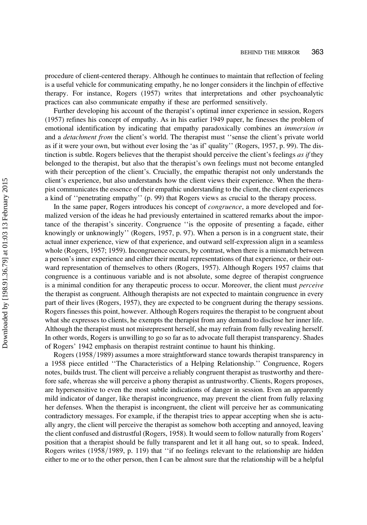procedure of client-centered therapy. Although he continues to maintain that reflection of feeling is a useful vehicle for communicating empathy, he no longer considers it the linchpin of effective therapy. For instance, Rogers (1957) writes that interpretations and other psychoanalytic practices can also communicate empathy if these are performed sensitively.

Further developing his account of the therapist's optimal inner experience in session, Rogers (1957) refines his concept of empathy. As in his earlier 1949 paper, he finesses the problem of emotional identification by indicating that empathy paradoxically combines an *immersion in* and a *detachment from* the client's world. The therapist must "sense the client's private world as if it were your own, but without ever losing the 'as if' quality'' (Rogers, 1957, p. 99). The distinction is subtle. Rogers believes that the therapist should perceive the client's feelings as if they belonged to the therapist, but also that the therapist's own feelings must not become entangled with their perception of the client's. Crucially, the empathic therapist not only understands the client's experience, but also understands how the client views their experience. When the therapist communicates the essence of their empathic understanding to the client, the client experiences a kind of ''penetrating empathy'' (p. 99) that Rogers views as crucial to the therapy process.

In the same paper, Rogers introduces his concept of *congruence*, a more developed and formalized version of the ideas he had previously entertained in scattered remarks about the importance of the therapist's sincerity. Congruence "is the opposite of presenting a façade, either knowingly or unknowingly'' (Rogers, 1957, p. 97). When a person is in a congruent state, their actual inner experience, view of that experience, and outward self-expression align in a seamless whole (Rogers, 1957; 1959). Incongruence occurs, by contrast, when there is a mismatch between a person's inner experience and either their mental representations of that experience, or their outward representation of themselves to others (Rogers, 1957). Although Rogers 1957 claims that congruence is a continuous variable and is not absolute, some degree of therapist congruence is a minimal condition for any therapeutic process to occur. Moreover, the client must *perceive* the therapist as congruent. Although therapists are not expected to maintain congruence in every part of their lives (Rogers, 1957), they are expected to be congruent during the therapy sessions. Rogers finesses this point, however. Although Rogers requires the therapist to be congruent about what she expresses to clients, he exempts the therapist from any demand to disclose her inner life. Although the therapist must not misrepresent herself, she may refrain from fully revealing herself. In other words, Rogers is unwilling to go so far as to advocate full therapist transparency. Shades of Rogers' 1942 emphasis on therapist restraint continue to haunt his thinking.

Rogers (1958/1989) assumes a more straightforward stance towards therapist transparency in a 1958 piece entitled ''The Characteristics of a Helping Relationship.'' Congruence, Rogers notes, builds trust. The client will perceive a reliably congruent therapist as trustworthy and therefore safe, whereas she will perceive a phony therapist as untrustworthy. Clients, Rogers proposes, are hypersensitive to even the most subtle indications of danger in session. Even an apparently mild indicator of danger, like therapist incongruence, may prevent the client from fully relaxing her defenses. When the therapist is incongruent, the client will perceive her as communicating contradictory messages. For example, if the therapist tries to appear accepting when she is actually angry, the client will perceive the therapist as somehow both accepting and annoyed, leaving the client confused and distrustful (Rogers, 1958). It would seem to follow naturally from Rogers' position that a therapist should be fully transparent and let it all hang out, so to speak. Indeed, Rogers writes (1958/1989, p. 119) that "if no feelings relevant to the relationship are hidden either to me or to the other person, then I can be almost sure that the relationship will be a helpful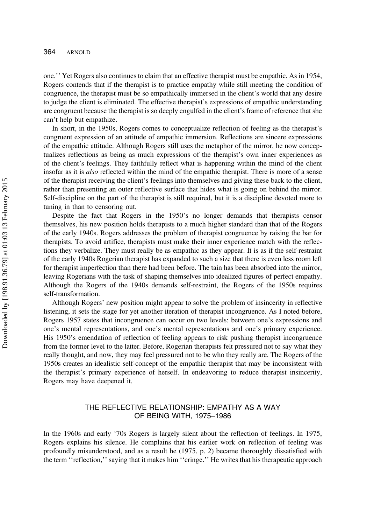one.'' Yet Rogers also continues to claim that an effective therapist must be empathic. As in 1954, Rogers contends that if the therapist is to practice empathy while still meeting the condition of congruence, the therapist must be so empathically immersed in the client's world that any desire to judge the client is eliminated. The effective therapist's expressions of empathic understanding are congruent because the therapist is so deeply engulfed in the client's frame of reference that she can't help but empathize.

In short, in the 1950s, Rogers comes to conceptualize reflection of feeling as the therapist's congruent expression of an attitude of empathic immersion. Reflections are sincere expressions of the empathic attitude. Although Rogers still uses the metaphor of the mirror, he now conceptualizes reflections as being as much expressions of the therapist's own inner experiences as of the client's feelings. They faithfully reflect what is happening within the mind of the client insofar as it is *also* reflected within the mind of the empathic therapist. There is more of a sense of the therapist receiving the client's feelings into themselves and giving these back to the client, rather than presenting an outer reflective surface that hides what is going on behind the mirror. Self-discipline on the part of the therapist is still required, but it is a discipline devoted more to tuning in than to censoring out.

Despite the fact that Rogers in the 1950's no longer demands that therapists censor themselves, his new position holds therapists to a much higher standard than that of the Rogers of the early 1940s. Rogers addresses the problem of therapist congruence by raising the bar for therapists. To avoid artifice, therapists must make their inner experience match with the reflections they verbalize. They must really be as empathic as they appear. It is as if the self-restraint of the early 1940s Rogerian therapist has expanded to such a size that there is even less room left for therapist imperfection than there had been before. The tain has been absorbed into the mirror, leaving Rogerians with the task of shaping themselves into idealized figures of perfect empathy. Although the Rogers of the 1940s demands self-restraint, the Rogers of the 1950s requires self-transformation.

Although Rogers' new position might appear to solve the problem of insincerity in reflective listening, it sets the stage for yet another iteration of therapist incongruence. As I noted before, Rogers 1957 states that incongruence can occur on two levels: between one's expressions and one's mental representations, and one's mental representations and one's primary experience. His 1950's emendation of reflection of feeling appears to risk pushing therapist incongruence from the former level to the latter. Before, Rogerian therapists felt pressured not to say what they really thought, and now, they may feel pressured not to be who they really are. The Rogers of the 1950s creates an idealistic self-concept of the empathic therapist that may be inconsistent with the therapist's primary experience of herself. In endeavoring to reduce therapist insincerity, Rogers may have deepened it.

#### THE REFLECTIVE RELATIONSHIP: EMPATHY AS A WAY OF BEING WITH, 1975–1986

In the 1960s and early '70s Rogers is largely silent about the reflection of feelings. In 1975, Rogers explains his silence. He complains that his earlier work on reflection of feeling was profoundly misunderstood, and as a result he (1975, p. 2) became thoroughly dissatisfied with the term ''reflection,'' saying that it makes him ''cringe.'' He writes that his therapeutic approach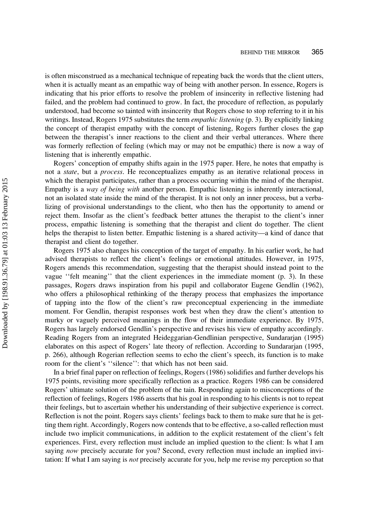is often misconstrued as a mechanical technique of repeating back the words that the client utters, when it is actually meant as an empathic way of being with another person. In essence, Rogers is indicating that his prior efforts to resolve the problem of insincerity in reflective listening had failed, and the problem had continued to grow. In fact, the procedure of reflection, as popularly understood, had become so tainted with insincerity that Rogers chose to stop referring to it in his writings. Instead, Rogers 1975 substitutes the term *empathic listening* (p. 3). By explicitly linking the concept of therapist empathy with the concept of listening, Rogers further closes the gap between the therapist's inner reactions to the client and their verbal utterances. Where there was formerly reflection of feeling (which may or may not be empathic) there is now a way of listening that is inherently empathic.

Rogers' conception of empathy shifts again in the 1975 paper. Here, he notes that empathy is not a *state*, but a *process*. He reconceptualizes empathy as an iterative relational process in which the therapist participates, rather than a process occurring within the mind of the therapist. Empathy is a way of being with another person. Empathic listening is inherently interactional, not an isolated state inside the mind of the therapist. It is not only an inner process, but a verbalizing of provisional understandings to the client, who then has the opportunity to amend or reject them. Insofar as the client's feedback better attunes the therapist to the client's inner process, empathic listening is something that the therapist and client do together. The client helps the therapist to listen better. Empathic listening is a shared activity—a kind of dance that therapist and client do together.

Rogers 1975 also changes his conception of the target of empathy. In his earlier work, he had advised therapists to reflect the client's feelings or emotional attitudes. However, in 1975, Rogers amends this recommendation, suggesting that the therapist should instead point to the vague ''felt meaning'' that the client experiences in the immediate moment (p. 3). In these passages, Rogers draws inspiration from his pupil and collaborator Eugene Gendlin (1962), who offers a philosophical rethinking of the therapy process that emphasizes the importance of tapping into the flow of the client's raw preconceptual experiencing in the immediate moment. For Gendlin, therapist responses work best when they draw the client's attention to murky or vaguely perceived meanings in the flow of their immediate experience. By 1975, Rogers has largely endorsed Gendlin's perspective and revises his view of empathy accordingly. Reading Rogers from an integrated Heideggarian-Gendlinian perspective, Sundararjan (1995) elaborates on this aspect of Rogers' late theory of reflection. According to Sundararjan (1995, p. 266), although Rogerian reflection seems to echo the client's speech, its function is to make room for the client's ''silence'': that which has not been said.

In a brief final paper on reflection of feelings, Rogers (1986) solidifies and further develops his 1975 points, revisiting more specifically reflection as a practice. Rogers 1986 can be considered Rogers' ultimate solution of the problem of the tain. Responding again to misconceptions of the reflection of feelings, Rogers 1986 asserts that his goal in responding to his clients is not to repeat their feelings, but to ascertain whether his understanding of their subjective experience is correct. Reflection is not the point. Rogers says clients' feelings back to them to make sure that he is getting them right. Accordingly, Rogers now contends that to be effective, a so-called reflection must include two implicit communications, in addition to the explicit restatement of the client's felt experiences. First, every reflection must include an implied question to the client: Is what I am saying now precisely accurate for you? Second, every reflection must include an implied invitation: If what I am saying is *not* precisely accurate for you, help me revise my perception so that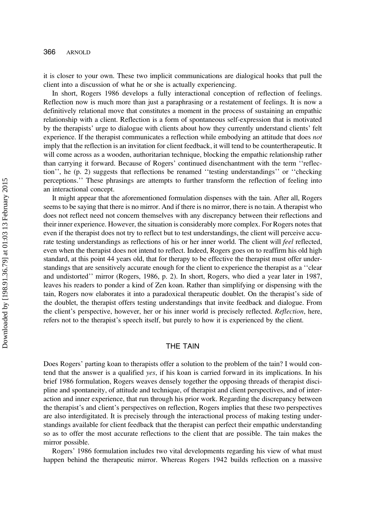it is closer to your own. These two implicit communications are dialogical hooks that pull the client into a discussion of what he or she is actually experiencing.

In short, Rogers 1986 develops a fully interactional conception of reflection of feelings. Reflection now is much more than just a paraphrasing or a restatement of feelings. It is now a definitively relational move that constitutes a moment in the process of sustaining an empathic relationship with a client. Reflection is a form of spontaneous self-expression that is motivated by the therapists' urge to dialogue with clients about how they currently understand clients' felt experience. If the therapist communicates a reflection while embodying an attitude that does *not* imply that the reflection is an invitation for client feedback, it will tend to be countertherapeutic. It will come across as a wooden, authoritarian technique, blocking the empathic relationship rather than carrying it forward. Because of Rogers' continued disenchantment with the term ''reflection'', he (p. 2) suggests that reflections be renamed ''testing understandings'' or ''checking perceptions.'' These phrasings are attempts to further transform the reflection of feeling into an interactional concept.

It might appear that the aforementioned formulation dispenses with the tain. After all, Rogers seems to be saying that there is no mirror. And if there is no mirror, there is no tain. A therapist who does not reflect need not concern themselves with any discrepancy between their reflections and their inner experience. However, the situation is considerably more complex. For Rogers notes that even if the therapist does not try to reflect but to test understandings, the client will perceive accurate testing understandings as reflections of his or her inner world. The client will feel reflected, even when the therapist does not intend to reflect. Indeed, Rogers goes on to reaffirm his old high standard, at this point 44 years old, that for therapy to be effective the therapist must offer understandings that are sensitively accurate enough for the client to experience the therapist as a ''clear and undistorted'' mirror (Rogers, 1986, p. 2). In short, Rogers, who died a year later in 1987, leaves his readers to ponder a kind of Zen koan. Rather than simplifying or dispensing with the tain, Rogers now elaborates it into a paradoxical therapeutic doublet. On the therapist's side of the doublet, the therapist offers testing understandings that invite feedback and dialogue. From the client's perspective, however, her or his inner world is precisely reflected. Reflection, here, refers not to the therapist's speech itself, but purely to how it is experienced by the client.

#### THE TAIN

Does Rogers' parting koan to therapists offer a solution to the problem of the tain? I would contend that the answer is a qualified yes, if his koan is carried forward in its implications. In his brief 1986 formulation, Rogers weaves densely together the opposing threads of therapist discipline and spontaneity, of attitude and technique, of therapist and client perspectives, and of interaction and inner experience, that run through his prior work. Regarding the discrepancy between the therapist's and client's perspectives on reflection, Rogers implies that these two perspectives are also interdigitated. It is precisely through the interactional process of making testing understandings available for client feedback that the therapist can perfect their empathic understanding so as to offer the most accurate reflections to the client that are possible. The tain makes the mirror possible.

Rogers' 1986 formulation includes two vital developments regarding his view of what must happen behind the therapeutic mirror. Whereas Rogers 1942 builds reflection on a massive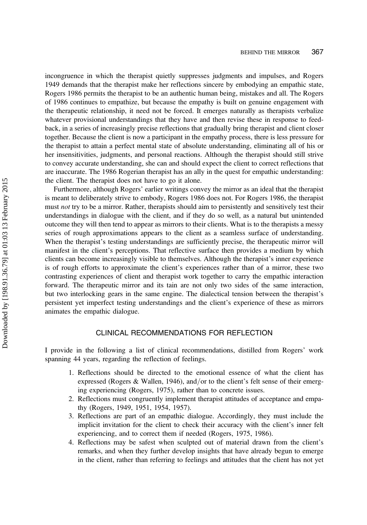incongruence in which the therapist quietly suppresses judgments and impulses, and Rogers 1949 demands that the therapist make her reflections sincere by embodying an empathic state, Rogers 1986 permits the therapist to be an authentic human being, mistakes and all. The Rogers of 1986 continues to empathize, but because the empathy is built on genuine engagement with the therapeutic relationship, it need not be forced. It emerges naturally as therapists verbalize whatever provisional understandings that they have and then revise these in response to feedback, in a series of increasingly precise reflections that gradually bring therapist and client closer together. Because the client is now a participant in the empathy process, there is less pressure for the therapist to attain a perfect mental state of absolute understanding, eliminating all of his or her insensitivities, judgments, and personal reactions. Although the therapist should still strive to convey accurate understanding, she can and should expect the client to correct reflections that are inaccurate. The 1986 Rogerian therapist has an ally in the quest for empathic understanding: the client. The therapist does not have to go it alone.

Furthermore, although Rogers' earlier writings convey the mirror as an ideal that the therapist is meant to deliberately strive to embody, Rogers 1986 does not. For Rogers 1986, the therapist must not try to be a mirror. Rather, therapists should aim to persistently and sensitively test their understandings in dialogue with the client, and if they do so well, as a natural but unintended outcome they will then tend to appear as mirrors to their clients. What is to the therapists a messy series of rough approximations appears to the client as a seamless surface of understanding. When the therapist's testing understandings are sufficiently precise, the therapeutic mirror will manifest in the client's perceptions. That reflective surface then provides a medium by which clients can become increasingly visible to themselves. Although the therapist's inner experience is of rough efforts to approximate the client's experiences rather than of a mirror, these two contrasting experiences of client and therapist work together to carry the empathic interaction forward. The therapeutic mirror and its tain are not only two sides of the same interaction, but two interlocking gears in the same engine. The dialectical tension between the therapist's persistent yet imperfect testing understandings and the client's experience of these as mirrors animates the empathic dialogue.

#### CLINICAL RECOMMENDATIONS FOR REFLECTION

I provide in the following a list of clinical recommendations, distilled from Rogers' work spanning 44 years, regarding the reflection of feelings.

- 1. Reflections should be directed to the emotional essence of what the client has expressed (Rogers & Wallen, 1946), and/or to the client's felt sense of their emerging experiencing (Rogers, 1975), rather than to concrete issues.
- 2. Reflections must congruently implement therapist attitudes of acceptance and empathy (Rogers, 1949, 1951, 1954, 1957).
- 3. Reflections are part of an empathic dialogue. Accordingly, they must include the implicit invitation for the client to check their accuracy with the client's inner felt experiencing, and to correct them if needed (Rogers, 1975, 1986).
- 4. Reflections may be safest when sculpted out of material drawn from the client's remarks, and when they further develop insights that have already begun to emerge in the client, rather than referring to feelings and attitudes that the client has not yet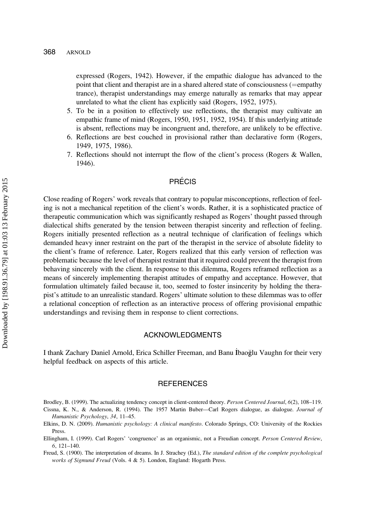expressed (Rogers, 1942). However, if the empathic dialogue has advanced to the point that client and therapist are in a shared altered state of consciousness ( $=$ empathy trance), therapist understandings may emerge naturally as remarks that may appear unrelated to what the client has explicitly said (Rogers, 1952, 1975).

- 5. To be in a position to effectively use reflections, the therapist may cultivate an empathic frame of mind (Rogers, 1950, 1951, 1952, 1954). If this underlying attitude is absent, reflections may be incongruent and, therefore, are unlikely to be effective.
- 6. Reflections are best couched in provisional rather than declarative form (Rogers, 1949, 1975, 1986).
- 7. Reflections should not interrupt the flow of the client's process (Rogers & Wallen, 1946).

## **PRÉCIS**

Close reading of Rogers' work reveals that contrary to popular misconceptions, reflection of feeling is not a mechanical repetition of the client's words. Rather, it is a sophisticated practice of therapeutic communication which was significantly reshaped as Rogers' thought passed through dialectical shifts generated by the tension between therapist sincerity and reflection of feeling. Rogers initially presented reflection as a neutral technique of clarification of feelings which demanded heavy inner restraint on the part of the therapist in the service of absolute fidelity to the client's frame of reference. Later, Rogers realized that this early version of reflection was problematic because the level of therapist restraint that it required could prevent the therapist from behaving sincerely with the client. In response to this dilemma, Rogers reframed reflection as a means of sincerely implementing therapist attitudes of empathy and acceptance. However, that formulation ultimately failed because it, too, seemed to foster insincerity by holding the therapist's attitude to an unrealistic standard. Rogers' ultimate solution to these dilemmas was to offer a relational conception of reflection as an interactive process of offering provisional empathic understandings and revising them in response to client corrections.

#### ACKNOWLEDGMENTS

I thank Zachary Daniel Arnold, Erica Schiller Freeman, and Banu İbaoğlu Vaughn for their very helpful feedback on aspects of this article.

#### **REFERENCES**

- Elkins, D. N. (2009). Humanistic psychology: A clinical manifesto. Colorado Springs, CO: University of the Rockies Press.
- Ellingham, I. (1999). Carl Rogers' 'congruence' as an organismic, not a Freudian concept. Person Centered Review, 6, 121–140.

Freud, S. (1900). The interpretation of dreams. In J. Strachey (Ed.), The standard edition of the complete psychological works of Sigmund Freud (Vols. 4 & 5). London, England: Hogarth Press.

Brodley, B. (1999). The actualizing tendency concept in client-centered theory. Person Centered Journal, 6(2), 108–119. Cissna, K. N., & Anderson, R. (1994). The 1957 Martin Buber—Carl Rogers dialogue, as dialogue. Journal of Humanistic Psychology, 34, 11–45.